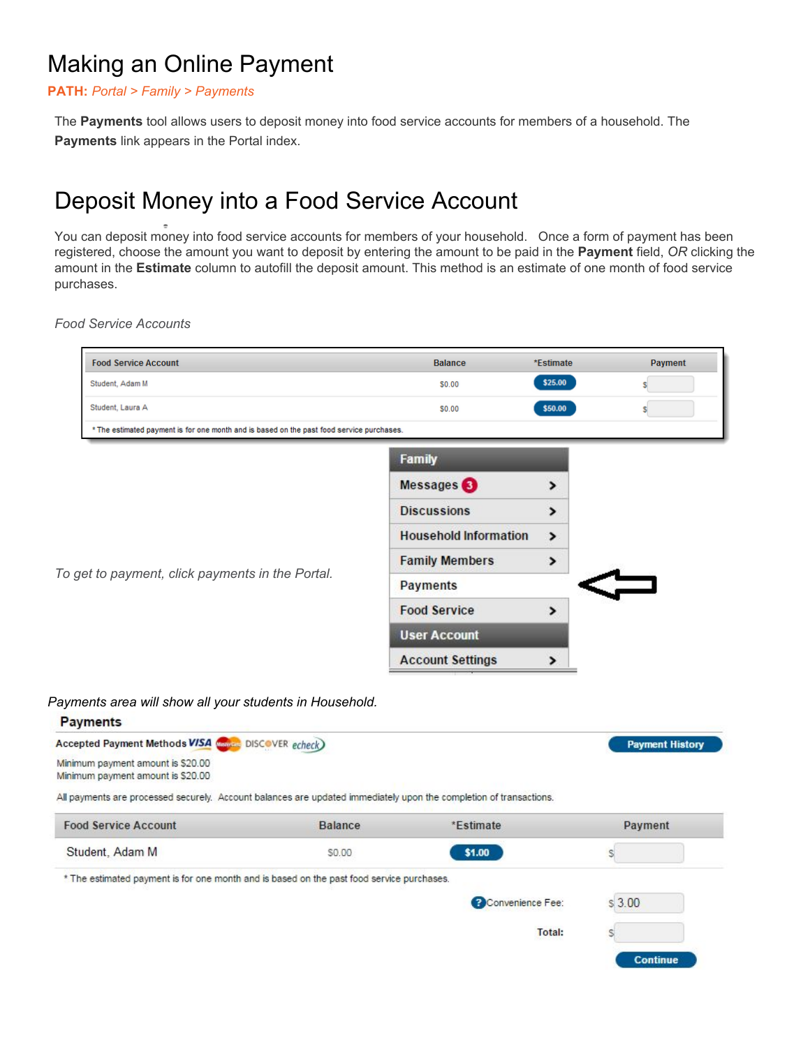# Making an Online Payment

### **PATH:** *Portal > Family > Payments*

The **Payments** tool allows users to deposit money into food service accounts for members of a household. The **Payments** link appears in the Portal index.

## Deposit Money into a Food Service Account

You can deposit money into food service accounts for members of your household. Once a form of payment has been registered, choose the amount you want to deposit by entering the amount to be paid in the **Payment** field, *OR* clicking the amount in the **Estimate** column to autofill the deposit amount. This method is an estimate of one month of food service purchases.

*Food Service Accounts*

| <b>Food Service Account</b>                                                               | <b>Balance</b>               | *Estimate     |  |
|-------------------------------------------------------------------------------------------|------------------------------|---------------|--|
| Student, Adam M                                                                           | \$0.00                       | \$25.00       |  |
| Student, Laura A                                                                          | \$0.00                       | \$50.00       |  |
| * The estimated payment is for one month and is based on the past food service purchases. |                              |               |  |
|                                                                                           | <b>Family</b>                |               |  |
|                                                                                           | Messages <sup>3</sup>        | ⋗             |  |
|                                                                                           | <b>Discussions</b>           | >             |  |
|                                                                                           | <b>Household Information</b> | $\rightarrow$ |  |
| To get to payment, click payments in the Portal.                                          | <b>Family Members</b>        | >             |  |
|                                                                                           | <b>Payments</b>              |               |  |
|                                                                                           | <b>Food Service</b>          | $\rightarrow$ |  |
|                                                                                           | <b>User Account</b>          |               |  |
|                                                                                           | <b>Account Settings</b>      | ⋗             |  |

*Payments area will show all your students in Household.*

| <b>Payments</b>                                                                                                    |                |                  |                        |
|--------------------------------------------------------------------------------------------------------------------|----------------|------------------|------------------------|
| Accepted Payment Methods VISA (Figure DISCOVER echeck)                                                             |                |                  | <b>Payment History</b> |
| Minimum payment amount is \$20.00                                                                                  |                |                  |                        |
| Minimum payment amount is \$20.00                                                                                  |                |                  |                        |
| All payments are processed securely. Account balances are updated immediately upon the completion of transactions. |                |                  |                        |
| <b>Food Service Account</b>                                                                                        | <b>Balance</b> | *Estimate        | Payment                |
| Student, Adam M                                                                                                    | \$0.00         | \$1.00           |                        |
| * The estimated payment is for one month and is based on the past food service purchases.                          |                |                  |                        |
|                                                                                                                    |                | Convenience Fee: | \$3.00                 |
|                                                                                                                    |                | Total:           |                        |
|                                                                                                                    |                |                  | <b>Continue</b>        |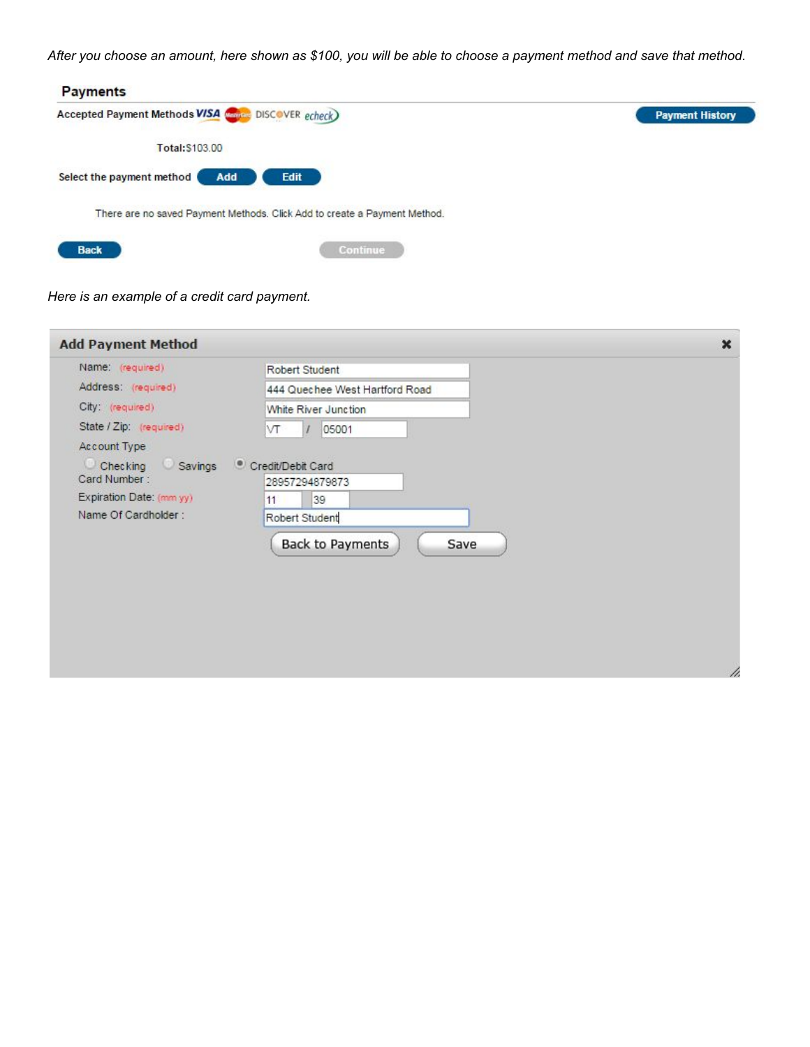*After you choose an amount, here shown as \$100, you will be able to choose a payment method and save that method.*

| <b>Payments</b>                                                           |                        |
|---------------------------------------------------------------------------|------------------------|
| Accepted Payment Methods VISA Company DISCOVER echeck                     | <b>Payment History</b> |
| Total: \$103.00                                                           |                        |
| Select the payment method<br>Edit<br>Add                                  |                        |
| There are no saved Payment Methods. Click Add to create a Payment Method. |                        |
| <b>Continue</b><br><b>Back</b>                                            |                        |

*Here is an example of a credit card payment.*

| <b>Add Payment Method</b>           |                                     | $\pmb{\times}$ |
|-------------------------------------|-------------------------------------|----------------|
| Name: (required)                    | Robert Student                      |                |
| Address: (required)                 | 444 Quechee West Hartford Road      |                |
| City (required)                     | White River Junction                |                |
| State / Zip: (required)             | VT<br>05001                         |                |
| Account Type                        |                                     |                |
| Checking<br>Savings<br>Card Number: | Credit/Debit Card<br>28957294879873 |                |
| Expiration Date: (mm yy)            | 39<br>11                            |                |
| Name Of Cardholder:                 | Robert Student                      |                |
|                                     | Back to Payments<br>Save            | //.            |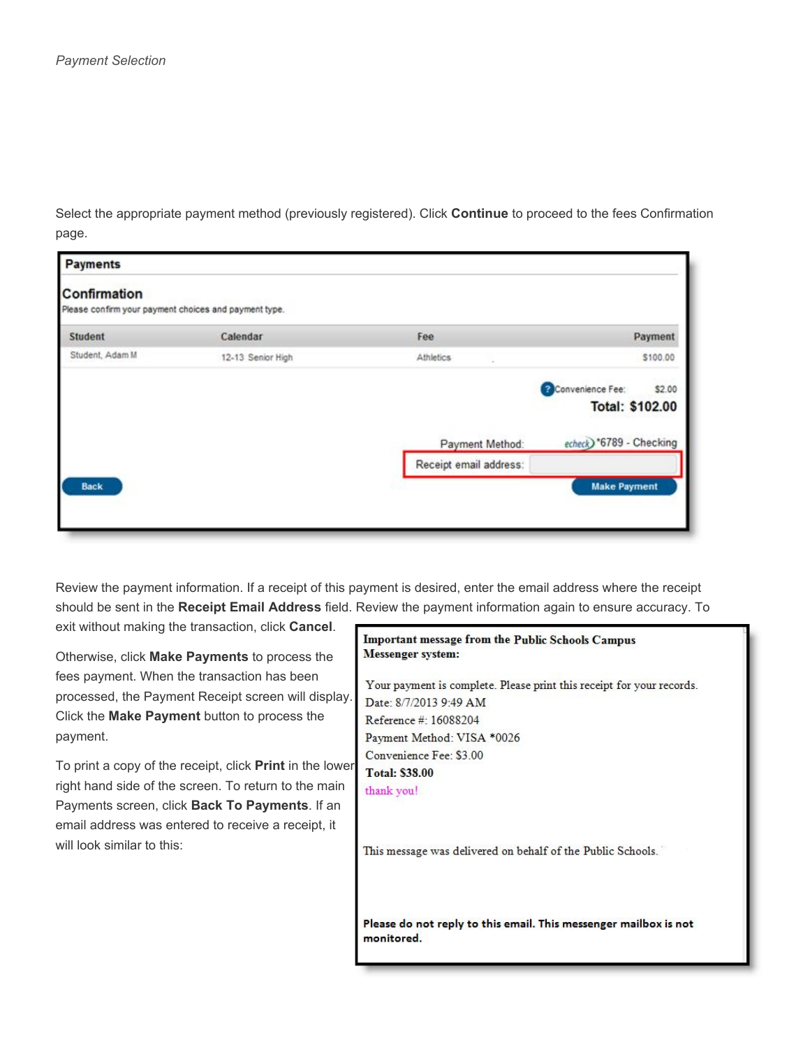Select the appropriate payment method (previously registered). Click **Continue** to proceed to the fees Confirmation page.

| Payments                                                              |                   |                        |                                                      |  |  |  |
|-----------------------------------------------------------------------|-------------------|------------------------|------------------------------------------------------|--|--|--|
| Confirmation<br>Please confirm your payment choices and payment type. |                   |                        |                                                      |  |  |  |
| <b>Student</b>                                                        | Calendar          | Fee                    | Payment                                              |  |  |  |
| Student, Adam M                                                       | 12-13 Senior High | Athletics              | \$100.00                                             |  |  |  |
|                                                                       |                   |                        | Convenience Fee:<br>\$2.00<br><b>Total: \$102.00</b> |  |  |  |
|                                                                       |                   | Payment Method:        | echeck) *6789 - Checking                             |  |  |  |
|                                                                       |                   | Receipt email address: |                                                      |  |  |  |
| <b>Back</b>                                                           |                   |                        | <b>Make Payment</b>                                  |  |  |  |

Review the payment information. If a receipt of this payment is desired, enter the email address where the receipt should be sent in the **Receipt Email Address** field. Review the payment information again to ensure accuracy. To exit without making the transaction, click **Cancel**.

Otherwise, click **Make Payments** to process the fees payment. When the transaction has been processed, the Payment Receipt screen will display. Click the **Make Payment** button to process the payment.

To print a copy of the receipt, click **Print** in the lower right hand side of the screen. To return to the main Payments screen, click **Back To Payments**. If an email address was entered to receive a receipt, it will look similar to this:

#### Important message from the Public Schools Campus **Messenger** system:

Your payment is complete. Please print this receipt for your records. Date: 8/7/2013 9:49 AM Reference #: 16088204 Payment Method: VISA \*0026 Convenience Fee: \$3.00 **Total: \$38.00** thank you!

This message was delivered on behalf of the Public Schools.

Please do not reply to this email. This messenger mailbox is not monitored.